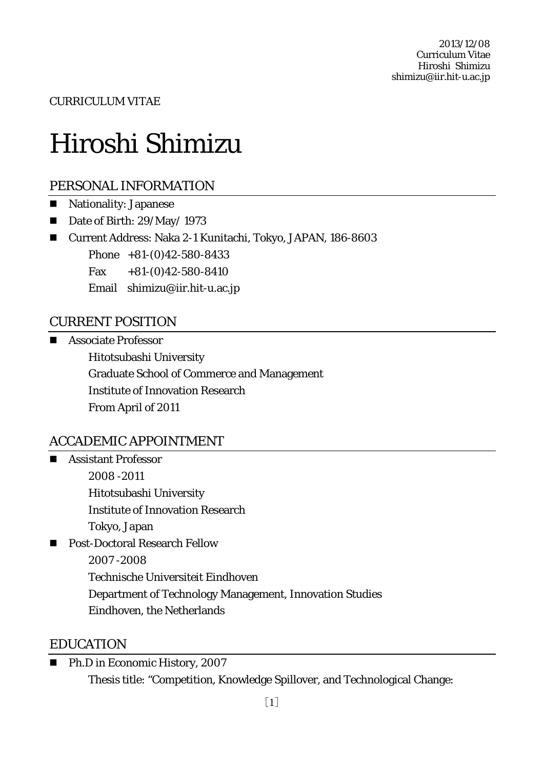CURRICULUM VITAE

# Hiroshi Shimizu

# PERSONAL INFORMATION

- **Nationality: Japanese**
- Date of Birth: 29/May/ 1973
- Current Address: Naka 2-1 Kunitachi, Tokyo, JAPAN, 186-8603

Phone +81-(0)42-580-8433

Fax  $+81-(0)42-580-8410$ 

Email shimizu@iir.hit-u.ac.jp

# CURRENT POSITION

Associate Professor

Hitotsubashi University Graduate School of Commerce and Management Institute of Innovation Research From April of 2011

# ACCADEMIC APPOINTMENT

- **Assistant Professor** 2008 -2011 Hitotsubashi University Institute of Innovation Research Tokyo, Japan Post-Doctoral Research Fellow 2007 -2008
	- Technische Universiteit Eindhoven
	- Department of Technology Management, Innovation Studies
	- Eindhoven, the Netherlands

### EDUCATION

■ Ph.D in Economic History, 2007 Thesis title: "Competition, Knowledge Spillover, and Technological Change: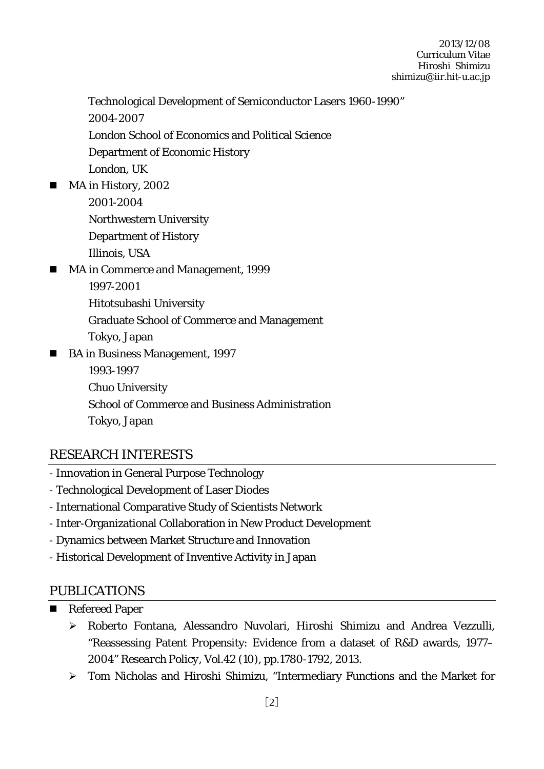- Technological Development of Semiconductor Lasers 1960-1990" 2004-2007 London School of Economics and Political Science Department of Economic History London, UK
- MA in History, 2002
	- 2001-2004
	- Northwestern University
	- Department of History
	- Illinois, USA
- MA in Commerce and Management, 1999
	- 1997-2001
	- Hitotsubashi University
	- Graduate School of Commerce and Management
	- Tokyo, Japan
- BA in Business Management, 1997
	- 1993-1997
	- Chuo University
	- School of Commerce and Business Administration
	- Tokyo, Japan

# RESEARCH INTERESTS

- Innovation in General Purpose Technology
- Technological Development of Laser Diodes
- International Comparative Study of Scientists Network
- Inter-Organizational Collaboration in New Product Development
- Dynamics between Market Structure and Innovation
- Historical Development of Inventive Activity in Japan

### PUBLICATIONS

- Refereed Paper
	- Roberto Fontana, Alessandro Nuvolari, Hiroshi Shimizu and Andrea Vezzulli, "Reassessing Patent Propensity: Evidence from a dataset of R&D awards, 1977– 2004" *Research Policy*, Vol.42 (10), pp.1780-1792, 2013.
	- Tom Nicholas and Hiroshi Shimizu, "Intermediary Functions and the Market for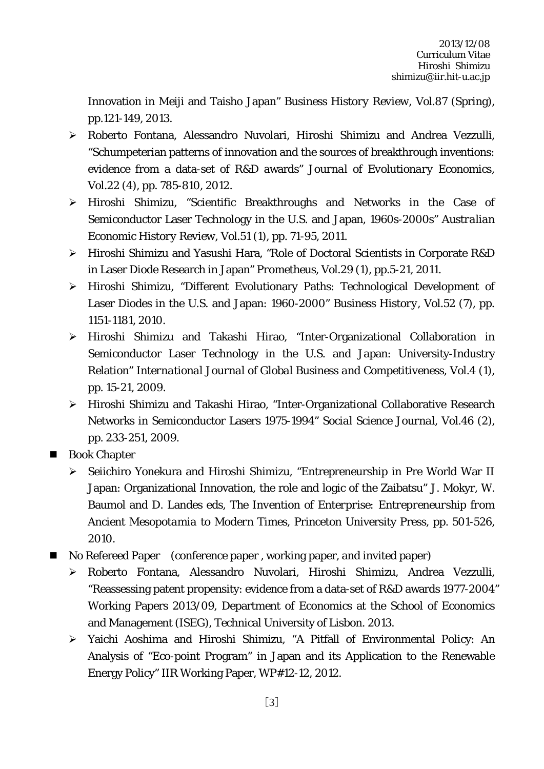Innovation in Meiji and Taisho Japan" *Business History Review*, Vol.87 (Spring), pp.121-149, 2013.

- Roberto Fontana, Alessandro Nuvolari, Hiroshi Shimizu and Andrea Vezzulli, "Schumpeterian patterns of innovation and the sources of breakthrough inventions: evidence from a data-set of R&D awards" *Journal of Evolutionary Economics,* Vol.22 (4), pp. 785-810, 2012.
- Hiroshi Shimizu, "Scientific Breakthroughs and Networks in the Case of Semiconductor Laser Technology in the U.S. and Japan, 1960s-2000s" *Australian Economic History Review*, Vol.51 (1), pp. 71-95, 2011.
- Hiroshi Shimizu and Yasushi Hara, "Role of Doctoral Scientists in Corporate R&D in Laser Diode Research in Japan" *Prometheus*, Vol.29 (1), pp.5-21, 2011.
- Hiroshi Shimizu, "Different Evolutionary Paths: Technological Development of Laser Diodes in the U.S. and Japan: 1960-2000" *Business History*, Vol.52 (7), pp. 1151-1181, 2010.
- Hiroshi Shimizu and Takashi Hirao, "Inter-Organizational Collaboration in Semiconductor Laser Technology in the U.S. and Japan: University-Industry Relation" *International Journal of Global Business and Competitiveness*, Vol.4 (1), pp. 15-21, 2009.
- Hiroshi Shimizu and Takashi Hirao, "Inter-Organizational Collaborative Research Networks in Semiconductor Lasers 1975-1994" *Social Science Journal*, Vol.46 (2), pp. 233-251, 2009.
- **Book Chapter** 
	- > Seiichiro Yonekura and Hiroshi Shimizu, "Entrepreneurship in Pre World War II Japan: Organizational Innovation, the role and logic of the Zaibatsu" J. Mokyr, W. Baumol and D. Landes eds, *The Invention of Enterprise: Entrepreneurship from Ancient Mesopotamia to Modern Times,* Princeton University Press, pp. 501-526, 2010.
- No Refereed Paper (conference paper , working paper, and invited paper)
	- Roberto Fontana, Alessandro Nuvolari, Hiroshi Shimizu, Andrea Vezzulli, "Reassessing patent propensity: evidence from a data-set of R&D awards 1977-2004" Working Papers 2013/09, Department of Economics at the School of Economics and Management (ISEG), Technical University of Lisbon. 2013.
	- Yaichi Aoshima and Hiroshi Shimizu, "A Pitfall of Environmental Policy: An Analysis of "Eco-point Program" in Japan and its Application to the Renewable Energy Policy" IIR Working Paper, WP#12-12, 2012.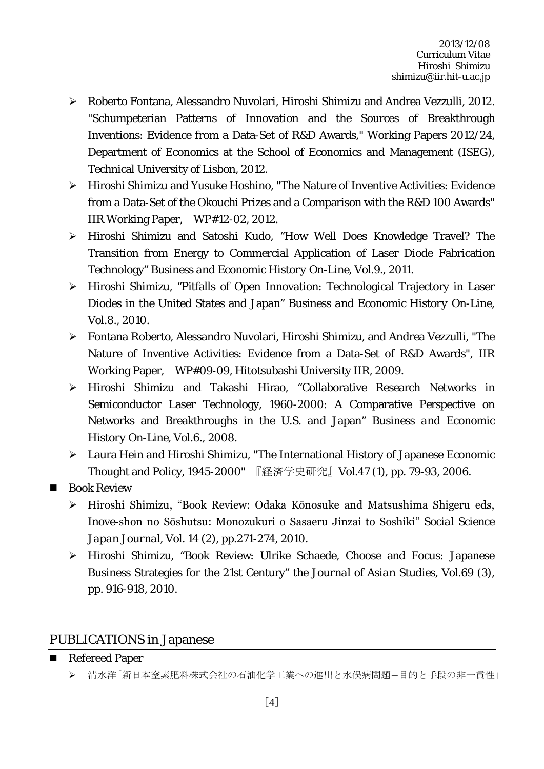- Roberto Fontana, Alessandro Nuvolari, Hiroshi Shimizu and Andrea Vezzulli, 2012. "Schumpeterian Patterns of Innovation and the Sources of Breakthrough Inventions: Evidence from a Data-Set of R&D Awards," Working Papers 2012/24, Department of Economics at the School of Economics and Management (ISEG), Technical University of Lisbon, 2012.
- Hiroshi Shimizu and Yusuke Hoshino, "The Nature of Inventive Activities: Evidence from a Data-Set of the Okouchi Prizes and a Comparison with the R&D 100 Awards" IIR Working Paper, WP#12-02, 2012.
- Hiroshi Shimizu and Satoshi Kudo, "How Well Does Knowledge Travel? The Transition from Energy to Commercial Application of Laser Diode Fabrication Technology" *Business and Economic History On-Line*, Vol.9., 2011.
- Hiroshi Shimizu, "Pitfalls of Open Innovation: Technological Trajectory in Laser Diodes in the United States and Japan" *Business and Economic History On-Line*, Vol.8., 2010.
- Fontana Roberto, Alessandro Nuvolari, Hiroshi Shimizu, and Andrea Vezzulli, "The Nature of Inventive Activities: Evidence from a Data-Set of R&D Awards", IIR Working Paper, WP#09-09, Hitotsubashi University IIR, 2009.
- $\triangleright$  Hiroshi Shimizu and Takashi Hirao, "Collaborative Research Networks in Semiconductor Laser Technology, 1960-2000: A Comparative Perspective on Networks and Breakthroughs in the U.S. and Japan" *Business and Economic History On-Line*, Vol.6., 2008.
- Laura Hein and Hiroshi Shimizu, "The International History of Japanese Economic Thought and Policy, 1945-2000" 『経済学史研究』Vol.47 (1), pp. 79-93, 2006.
- **Book Review** 
	- Hiroshi Shimizu, "Book Review: Odaka Kōnosuke and Matsushima Shigeru eds, Inove-shon no Sōshutsu: Monozukuri o Sasaeru Jinzai to Soshiki" *Social Science Japan Journal,* Vol. 14 (2), pp.271-274, 2010.
	- Hiroshi Shimizu, "Book Review: Ulrike Schaede, Choose and Focus: Japanese Business Strategies for the 21st Century" *the Journal of Asian Studies*, Vol.69 (3), pp. 916-918, 2010.

#### PUBLICATIONS in Japanese

- Refereed Paper
	- ▶ 清水洋「新日本窒素肥料株式会社の石油化学工業への進出と水俣病問題ー目的と手段の非一貫性」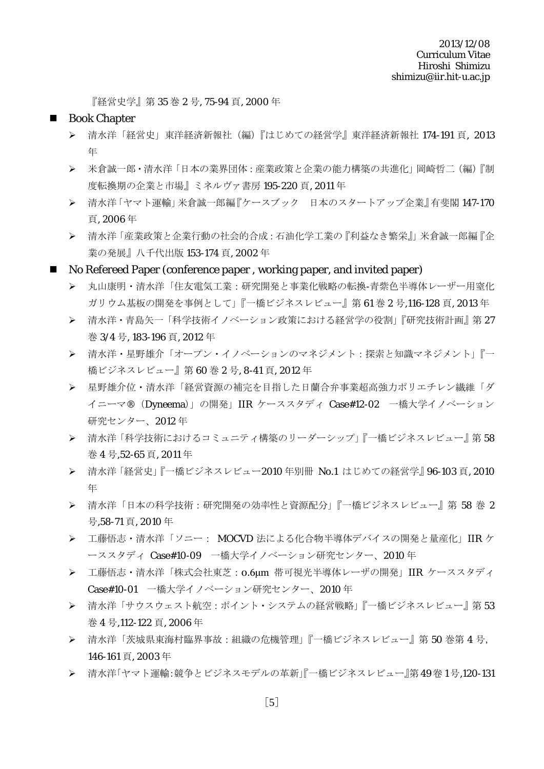『経営史学』第 35 巻 2 号, 75-94 頁, 2000 年

#### **Book Chapter**

- > 清水洋「経営史」東洋経済新報社(編)『はじめての経営学』東洋経済新報社 174-191 頁, 2013 年
- 米倉誠一郎・清水洋「日本の業界団体:産業政策と企業の能力構築の共進化」岡崎哲二(編)『制 度転換期の企業と市場』ミネルヴァ書房 195-220 頁, 2011 年
- 清水洋「ヤマト運輸」米倉誠一郎編『ケースブック 日本のスタートアップ企業』有斐閣 147-170 頁, 2006 年
- ▶ 清水洋「産業政策と企業行動の社会的合成:石油化学工業の『利益なき繁栄』」米倉誠一郎編『企 業の発展』八千代出版 153-174 頁, 2002 年
- No Refereed Paper (conference paper , working paper, and invited paper)
	- 丸山康明・清水洋「住友電気工業:研究開発と事業化戦略の転換-青紫色半導体レーザー用窒化 ガリウム基板の開発を事例として」『一橋ビジネスレビュー』第 61 巻 2 号,116-128 頁, 2013 年
	- > 清水洋・青島矢一「科学技術イノベーション政策における経営学の役割」『研究技術計画』 第 27 巻 3/4 号, 183-196 頁, 2012 年
	- 清水洋・星野雄介「オープン・イノベーションのマネジメント:探索と知識マネジメント」『一 橋ビジネスレビュー』第 60 巻 2 号, 8-41 頁, 2012 年
	- 星野雄介位・清水洋「経営資源の補完を目指した日蘭合弁事業超高強力ポリエチレン繊維「ダ イニーマ®(Dyneema)」の開発」IIR ケーススタディ Case#12-02 一橋大学イノベーション 研究センター、2012 年
	- 清水洋「科学技術におけるコミュニティ構築のリーダーシップ」『一橋ビジネスレビュー』第 58 巻 4 号,52-65 頁, 2011 年
	- **>** 清水洋 「経営史」 『一橋ビジネスレビュー2010 年別冊 No.1 はじめての経営学』 96-103 頁, 2010 年
	- ▶ 清水洋「日本の科学技術:研究開発の効率性と資源配分」『一橋ビジネスレビュー』第 58 巻 2 号,58-71 頁, 2010 年
	- 工藤悟志・清水洋「ソニー: MOCVD 法による化合物半導体デバイスの開発と量産化」IIR ケ ーススタディ Case#10-09 一橋大学イノベーション研究センター、2010 年
	- 工藤悟志・清水洋「株式会社東芝:0.6μm 帯可視光半導体レーザの開発」IIR ケーススタディ Case#10-01 一橋大学イノベーション研究センター、2010 年
	- 清水洋「サウスウェスト航空:ポイント・システムの経営戦略」『一橋ビジネスレビュー』第 53 巻 4 号,112-122 頁, 2006 年
	- 清水洋「茨城県東海村臨界事故:組織の危機管理」『一橋ビジネスレビュー』第 50 巻第 4 号, 146-161 頁, 2003 年
	- 清水洋「ヤマト運輸:競争とビジネスモデルの革新」『一橋ビジネスレビュー』第 49卷 1号,120-131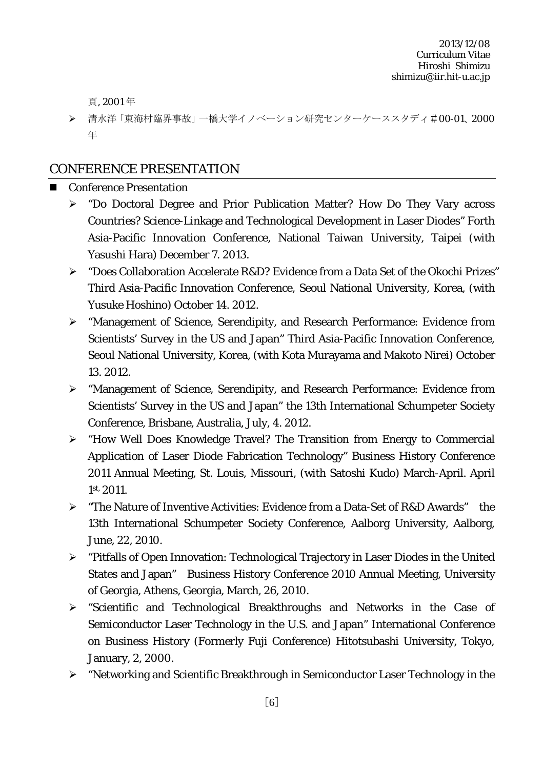頁, 2001 年

> 清水洋「東海村臨界事故」一橋大学イノベーション研究センターケーススタディ#00-01、2000 年

# CONFERENCE PRESENTATION

- Conference Presentation
	- "Do Doctoral Degree and Prior Publication Matter? How Do They Vary across Countries? Science-Linkage and Technological Development in Laser Diodes" Forth Asia-Pacific Innovation Conference, National Taiwan University, Taipei (with Yasushi Hara) December 7. 2013.
	- "Does Collaboration Accelerate R&D? Evidence from a Data Set of the Okochi Prizes" Third Asia-Pacific Innovation Conference, Seoul National University, Korea, (with Yusuke Hoshino) October 14. 2012.
	- "Management of Science, Serendipity, and Research Performance: Evidence from Scientists' Survey in the US and Japan" Third Asia-Pacific Innovation Conference, Seoul National University, Korea, (with Kota Murayama and Makoto Nirei) October 13. 2012.
	- "Management of Science, Serendipity, and Research Performance: Evidence from Scientists' Survey in the US and Japan" the 13th International Schumpeter Society Conference, Brisbane, Australia, July, 4. 2012.
	- "How Well Does Knowledge Travel? The Transition from Energy to Commercial Application of Laser Diode Fabrication Technology" Business History Conference 2011 Annual Meeting, St. Louis, Missouri, (with Satoshi Kudo) March-April. April 1st, 2011.
	- "The Nature of Inventive Activities: Evidence from a Data-Set of R&D Awards" the 13th International Schumpeter Society Conference, Aalborg University, Aalborg, June, 22, 2010.
	- "Pitfalls of Open Innovation: Technological Trajectory in Laser Diodes in the United States and Japan" Business History Conference 2010 Annual Meeting, University of Georgia, Athens, Georgia, March, 26, 2010.
	- "Scientific and Technological Breakthroughs and Networks in the Case of Semiconductor Laser Technology in the U.S. and Japan" International Conference on Business History (Formerly Fuji Conference) Hitotsubashi University, Tokyo, January, 2, 2000.
	- "Networking and Scientific Breakthrough in Semiconductor Laser Technology in the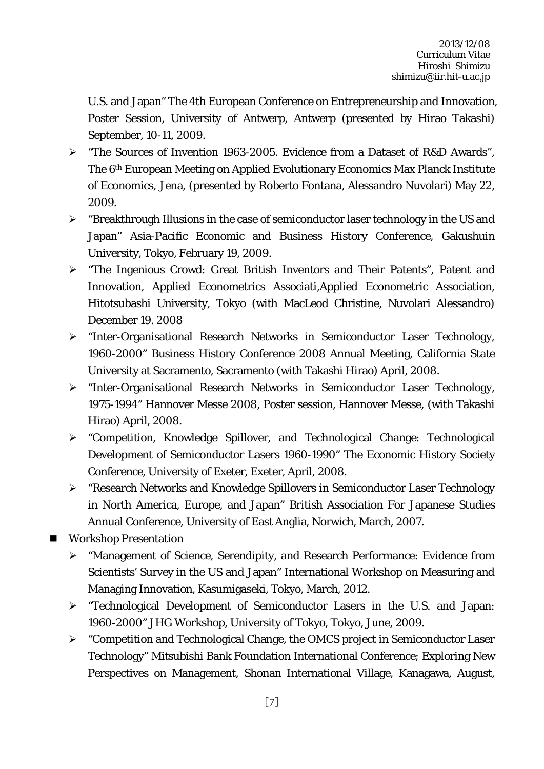U.S. and Japan" The 4th European Conference on Entrepreneurship and Innovation, Poster Session, University of Antwerp, Antwerp (presented by Hirao Takashi) September, 10-11, 2009.

- > "The Sources of Invention 1963-2005. Evidence from a Dataset of R&D Awards", The 6th European Meeting on Applied Evolutionary Economics Max Planck Institute of Economics, Jena, (presented by Roberto Fontana, Alessandro Nuvolari) May 22, 2009.
- $\triangleright$  "Breakthrough Illusions in the case of semiconductor laser technology in the US and Japan" Asia-Pacific Economic and Business History Conference, Gakushuin University, Tokyo, February 19, 2009.
- > "The Ingenious Crowd: Great British Inventors and Their Patents", Patent and Innovation, Applied Econometrics Associati,Applied Econometric Association, Hitotsubashi University, Tokyo (with MacLeod Christine, Nuvolari Alessandro) December 19. 2008
- "Inter-Organisational Research Networks in Semiconductor Laser Technology, 1960-2000" Business History Conference 2008 Annual Meeting, California State University at Sacramento, Sacramento (with Takashi Hirao) April, 2008.
- "Inter-Organisational Research Networks in Semiconductor Laser Technology, 1975-1994" Hannover Messe 2008, Poster session, Hannover Messe, (with Takashi Hirao) April, 2008.
- "Competition, Knowledge Spillover, and Technological Change: Technological Development of Semiconductor Lasers 1960-1990" The Economic History Society Conference, University of Exeter, Exeter, April, 2008.
- "Research Networks and Knowledge Spillovers in Semiconductor Laser Technology in North America, Europe, and Japan" British Association For Japanese Studies Annual Conference, University of East Anglia, Norwich, March, 2007.
- **Workshop Presentation** 
	- "Management of Science, Serendipity, and Research Performance: Evidence from Scientists' Survey in the US and Japan" International Workshop on Measuring and Managing Innovation, Kasumigaseki, Tokyo, March, 2012.
	- > "Technological Development of Semiconductor Lasers in the U.S. and Japan: 1960-2000" JHG Workshop, University of Tokyo, Tokyo, June, 2009.
	- "Competition and Technological Change, the OMCS project in Semiconductor Laser Technology" Mitsubishi Bank Foundation International Conference; Exploring New Perspectives on Management, Shonan International Village, Kanagawa, August,